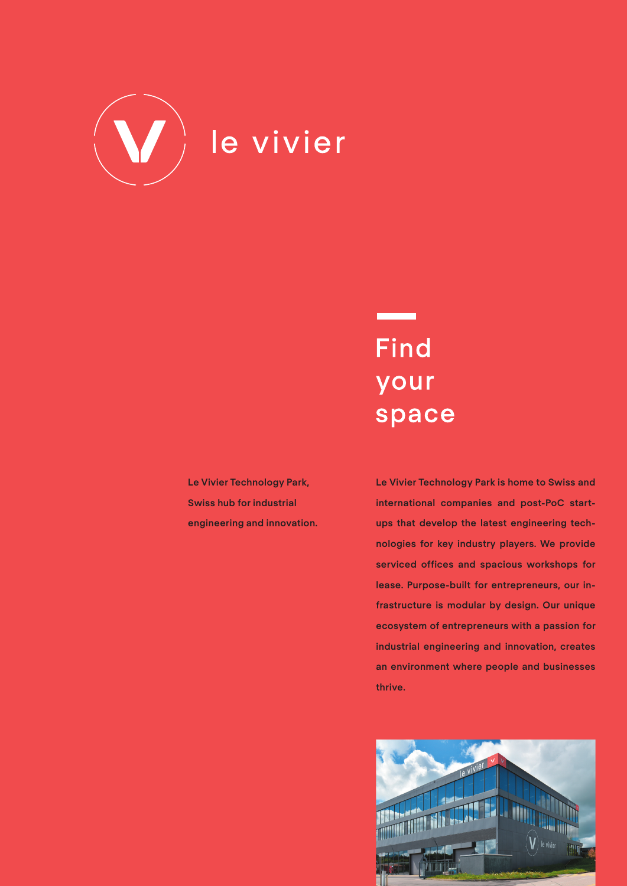

# **Find** your space

**Le Vivier Technology Park, Swiss hub for industrial engineering and innovation.** **Le Vivier Technology Park is home to Swiss and international companies and post-PoC startups that develop the latest engineering technologies for key industry players. We provide serviced offices and spacious workshops for lease. Purpose-built for entrepreneurs, our infrastructure is modular by design. Our unique ecosystem of entrepreneurs with a passion for industrial engineering and innovation, creates an environment where people and businesses thrive.**

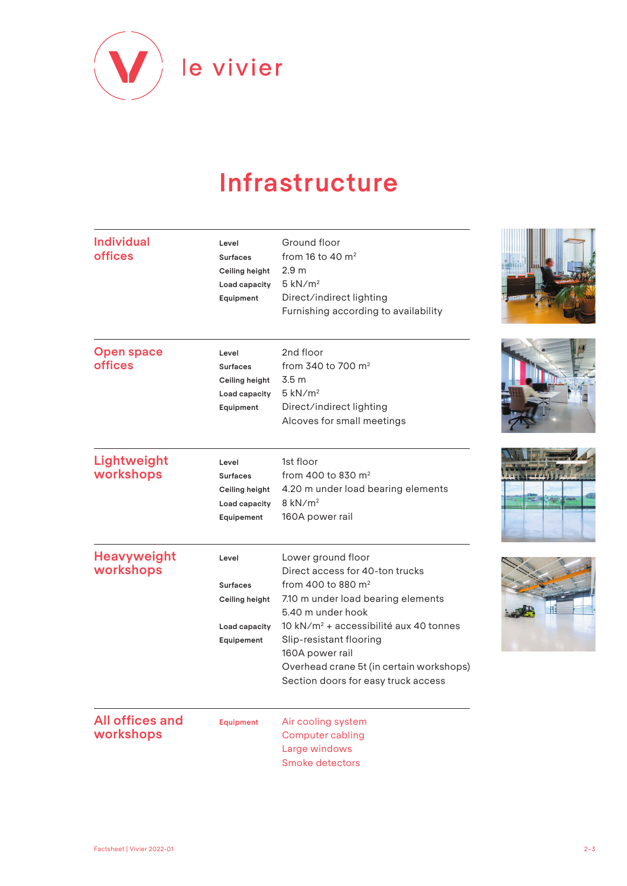

## **Infrastructure**

| <b>Individual</b><br><b>offices</b> | Level<br><b>Surfaces</b><br>Ceiling height<br>Load capacity<br>Equipment  | Ground floor<br>from 16 to 40 $m2$<br>2.9 <sub>m</sub><br>$5$ kN/ $m2$<br>Direct/indirect lighting<br>Furnishing according to availability                                                                                                                                                                                                |  |
|-------------------------------------|---------------------------------------------------------------------------|-------------------------------------------------------------------------------------------------------------------------------------------------------------------------------------------------------------------------------------------------------------------------------------------------------------------------------------------|--|
| <b>Open space</b><br><b>offices</b> | Level<br><b>Surfaces</b><br>Ceiling height<br>Load capacity<br>Equipment  | 2nd floor<br>from 340 to 700 $m2$<br>3.5 <sub>m</sub><br>$5$ kN/ $m2$<br>Direct/indirect lighting<br>Alcoves for small meetings                                                                                                                                                                                                           |  |
| Lightweight<br>workshops            | Level<br><b>Surfaces</b><br>Ceiling height<br>Load capacity<br>Equipement | 1st floor<br>from 400 to 830 $m2$<br>4.20 m under load bearing elements<br>$8$ kN/m <sup>2</sup><br>160A power rail                                                                                                                                                                                                                       |  |
| <b>Heavyweight</b><br>workshops     | Level<br><b>Surfaces</b><br>Ceiling height<br>Load capacity<br>Equipement | Lower ground floor<br>Direct access for 40-ton trucks<br>from 400 to 880 m <sup>2</sup><br>7.10 m under load bearing elements<br>5.40 m under hook<br>10 kN/m <sup>2</sup> + accessibilité aux 40 tonnes<br>Slip-resistant flooring<br>160A power rail<br>Overhead crane 5t (in certain workshops)<br>Section doors for easy truck access |  |
| <b>All offices and</b><br>workshops | Equipment                                                                 | Air cooling system<br><b>Computer cabling</b><br>Large windows<br><b>Smoke detectors</b>                                                                                                                                                                                                                                                  |  |